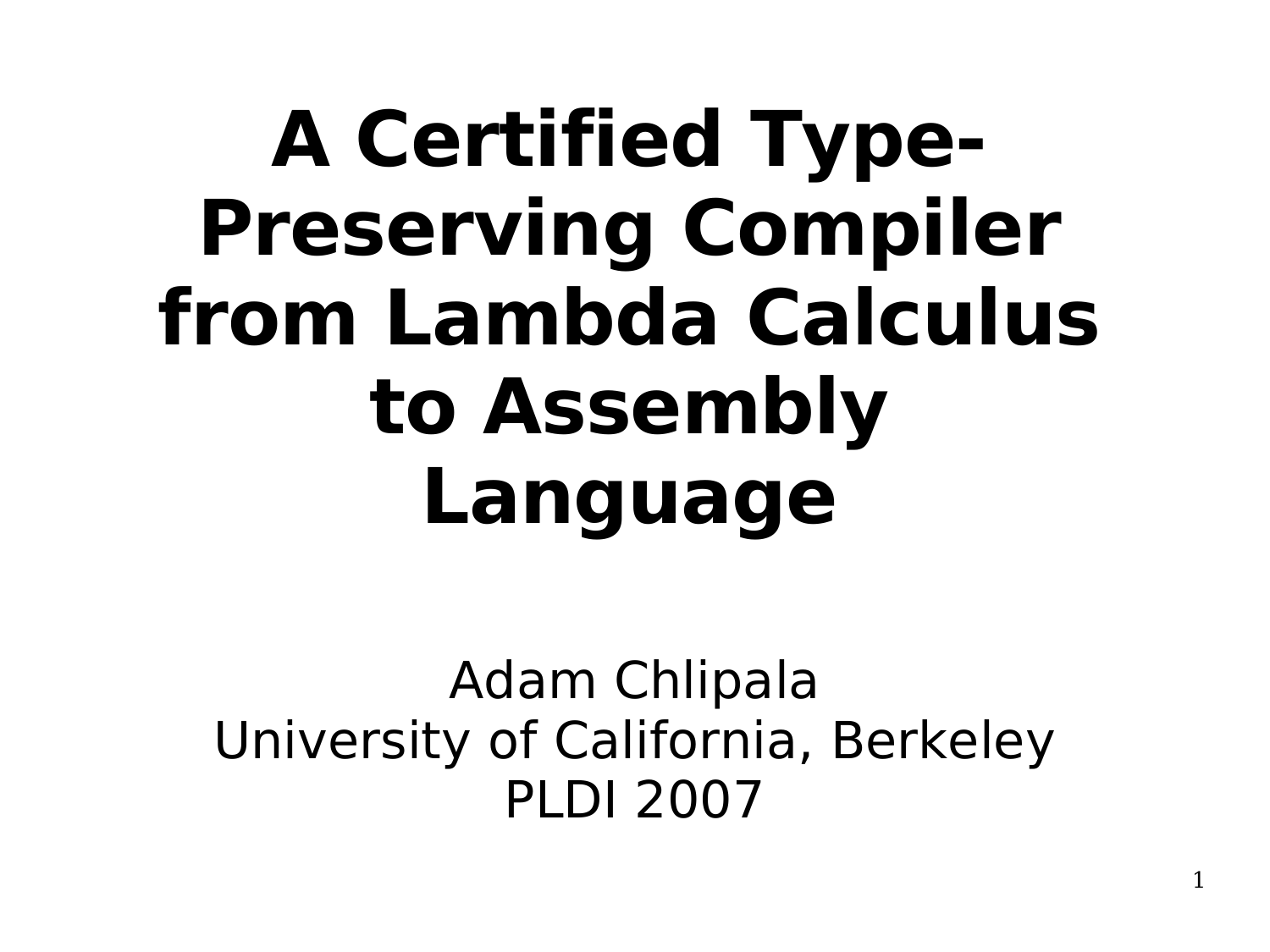# **A Certified Type-Preserving Compiler from Lambda Calculus to Assembly Language**

Adam Chlipala University of California, Berkeley PLDI 2007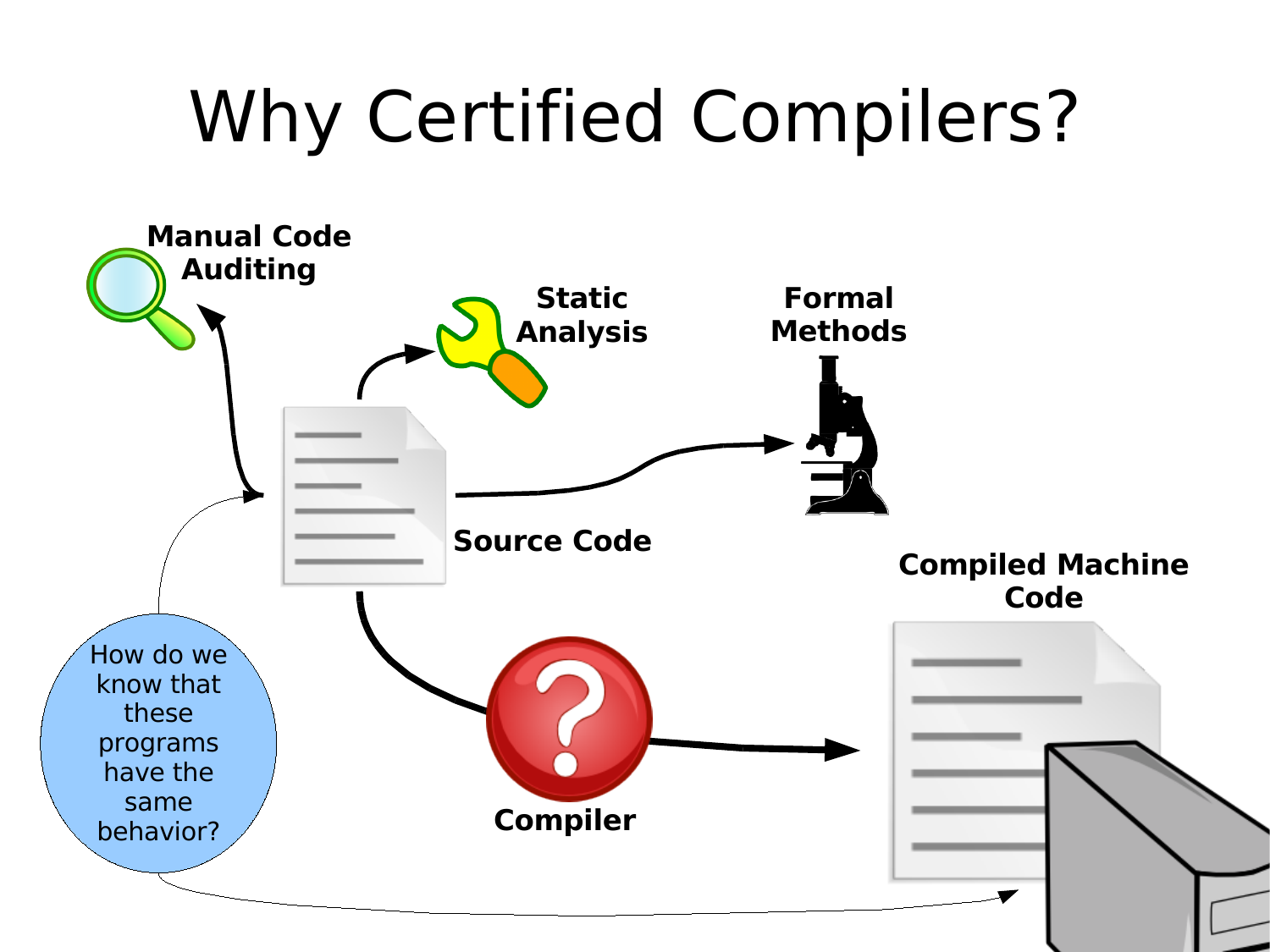# Why Certified Compilers?

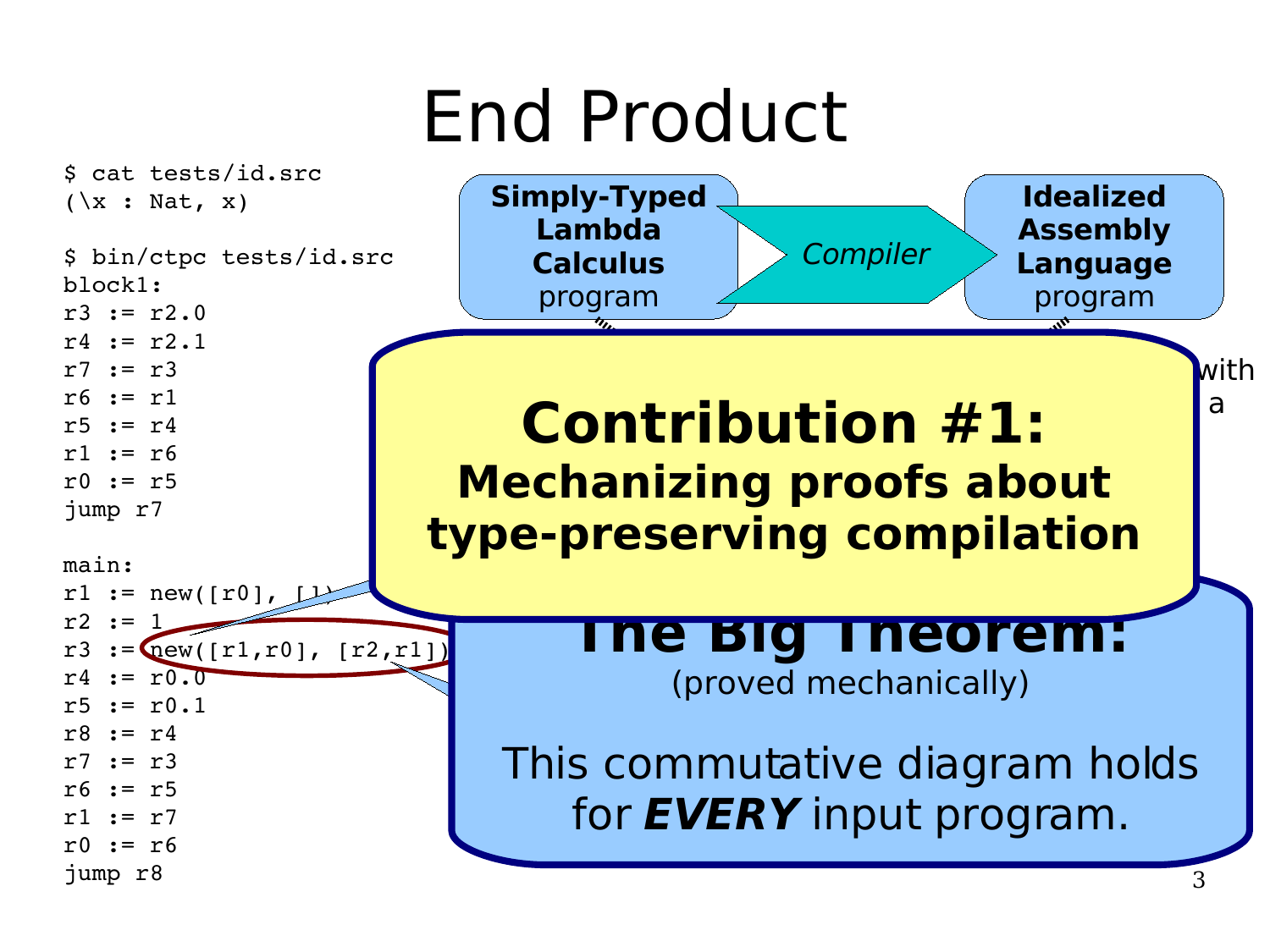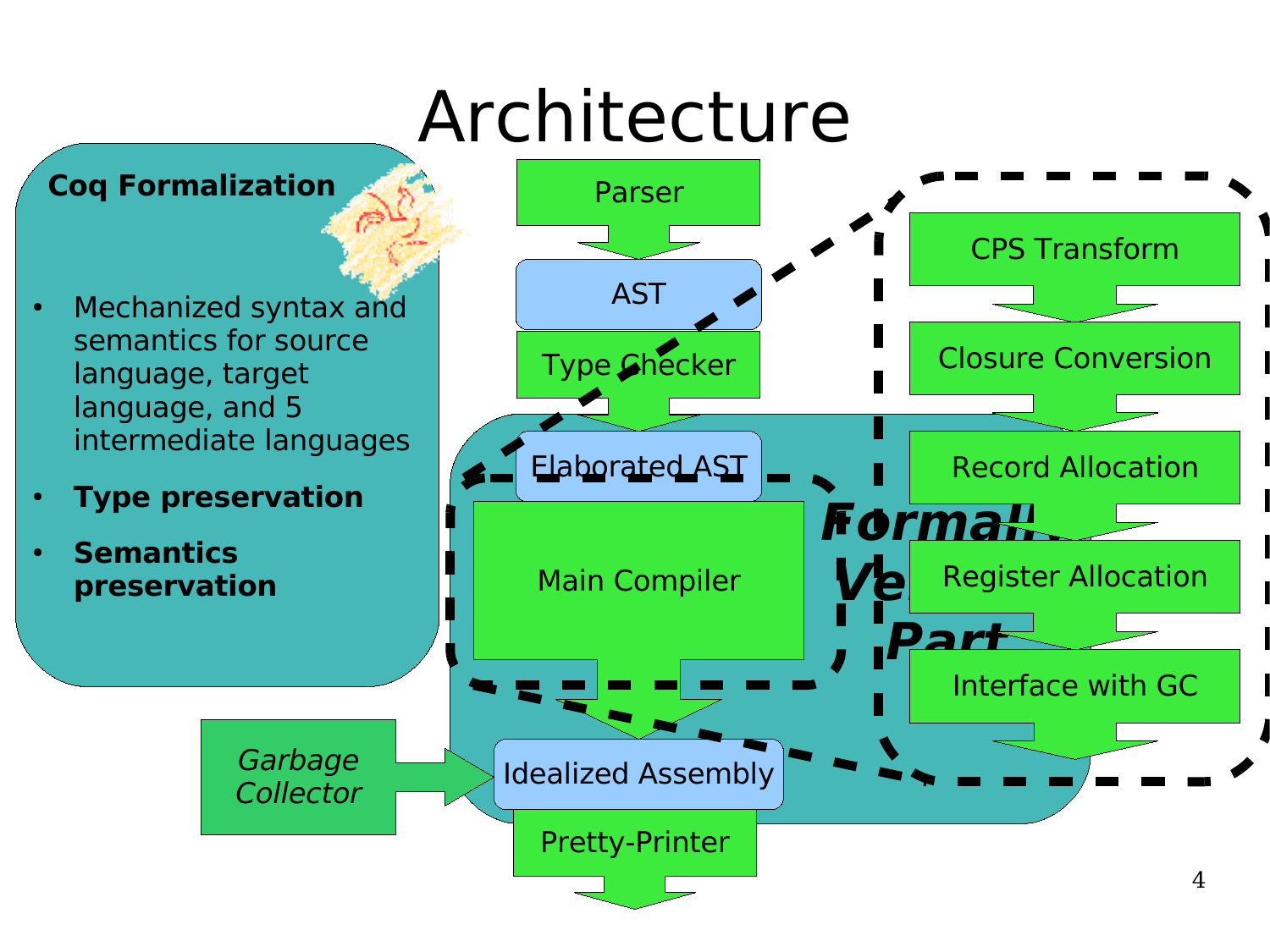# Architecture

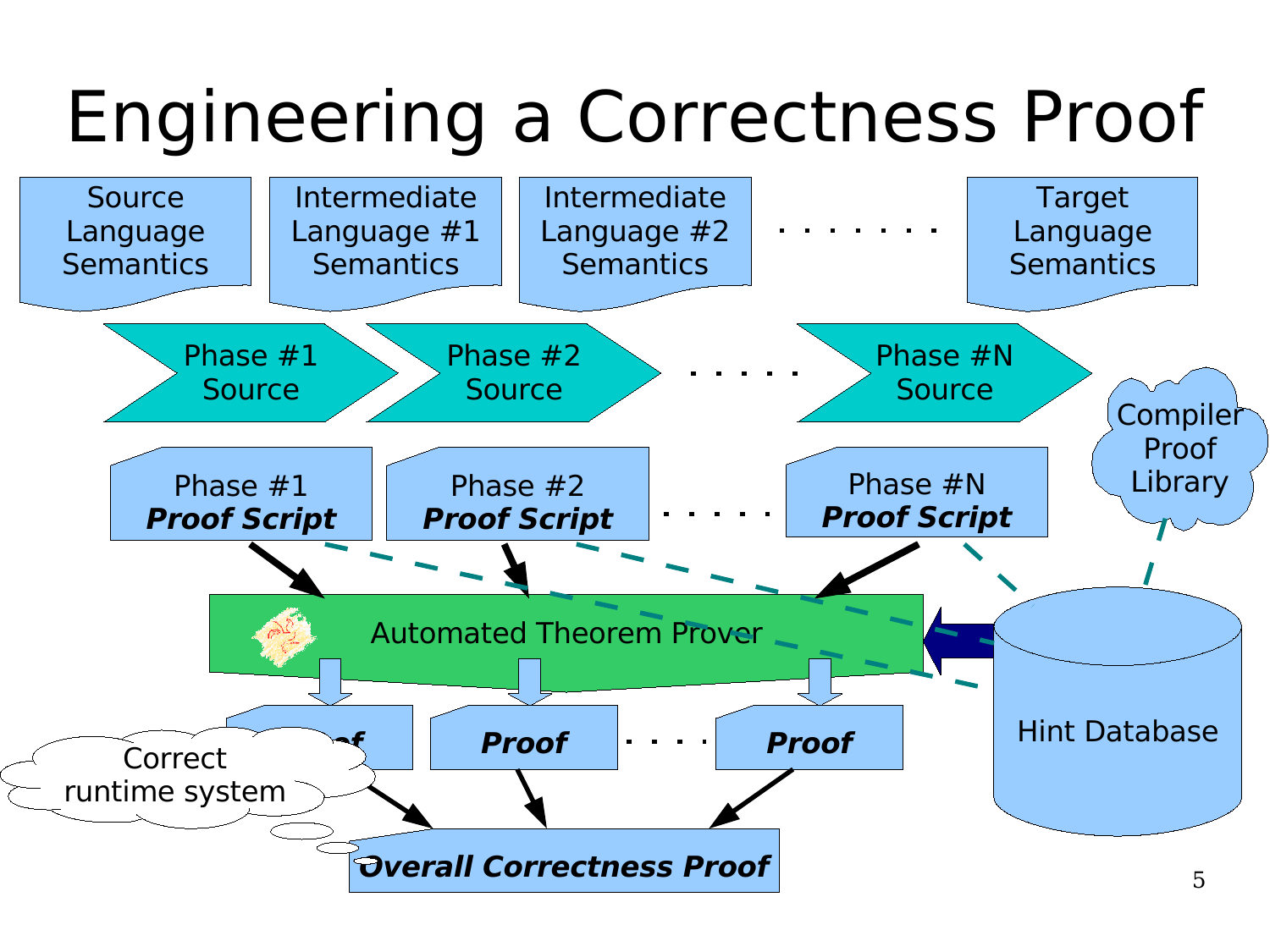# Engineering a Correctness Proof

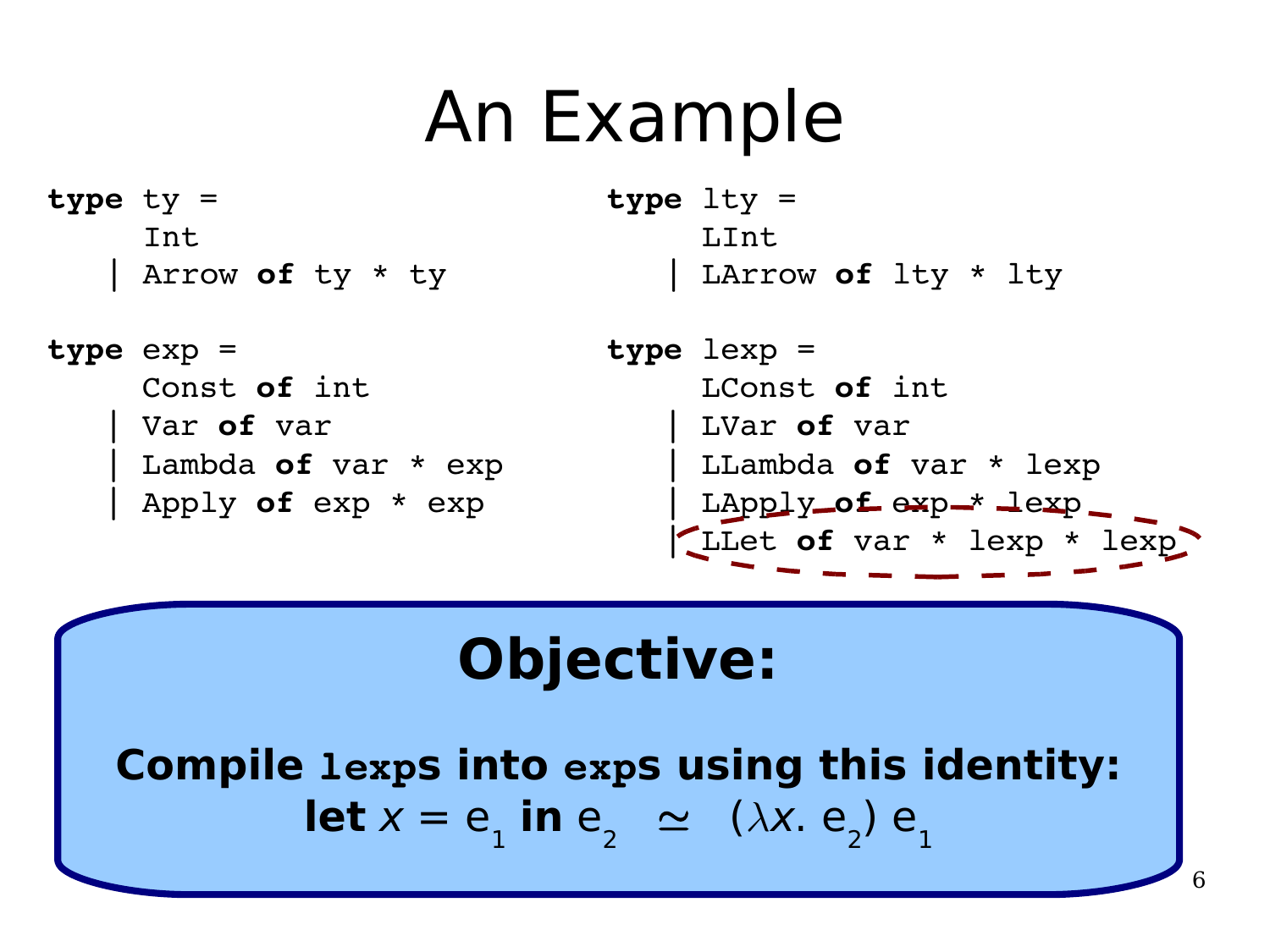### An Example

**type** ty = Int | Arrow **of** ty \* ty

```
type lty =
     LInt
    | LArrow of lty * lty
```
**type** exp = Const **of** int | Var **of** var | Lambda **of** var \* exp | Apply **of** exp \* exp

**type** lexp = LConst **of** int | LVar **of** var | LLambda **of** var \* lexp | LApply **of** exp \* lexp | LLet **of** var \* lexp \* lexp

#### **Objective:**

**Compile lexps into exps using this identity: let**  $x = e_1$  in  $e_2 \simeq (\lambda x. e_2) e_1$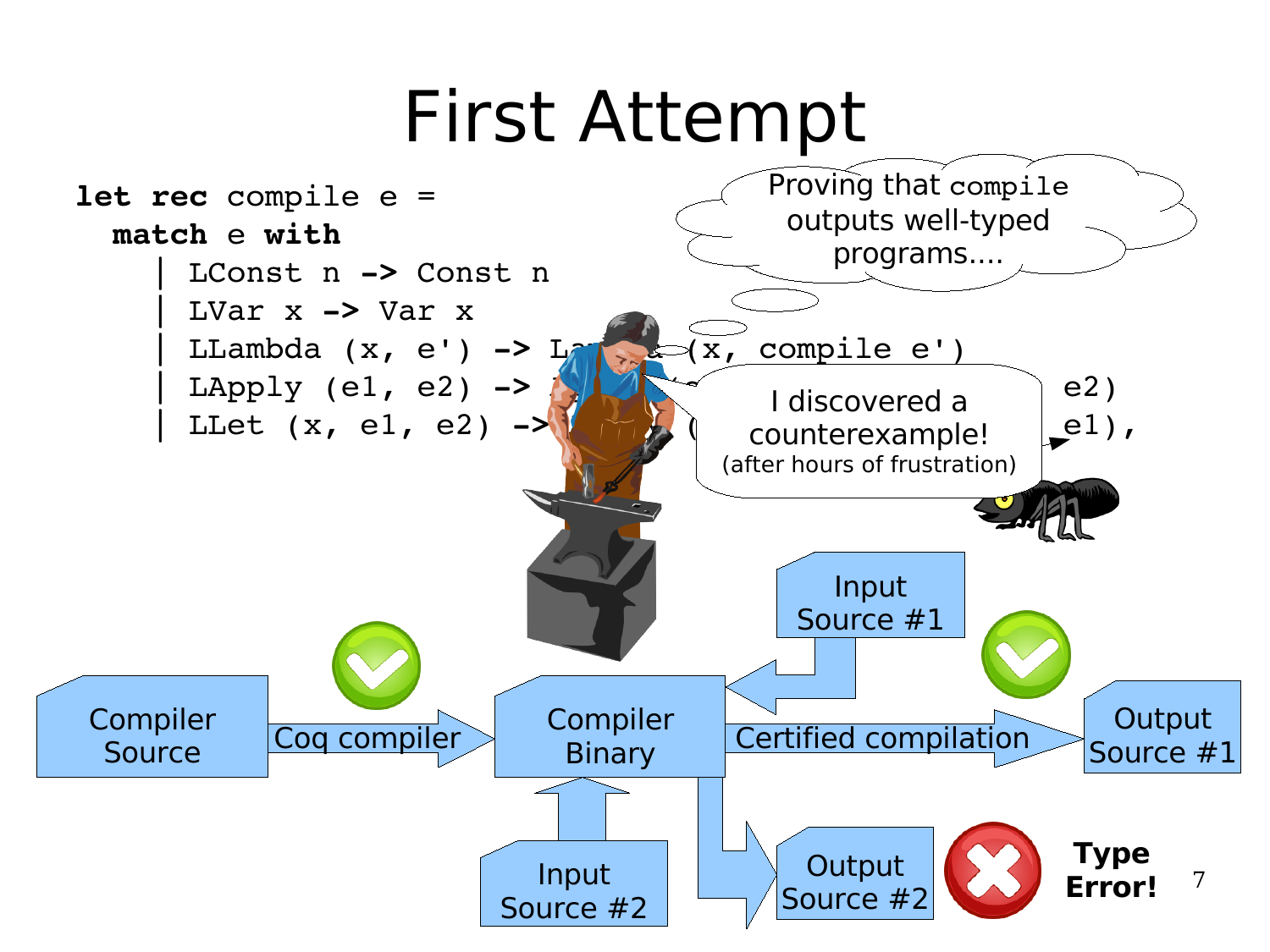#### First Attempt

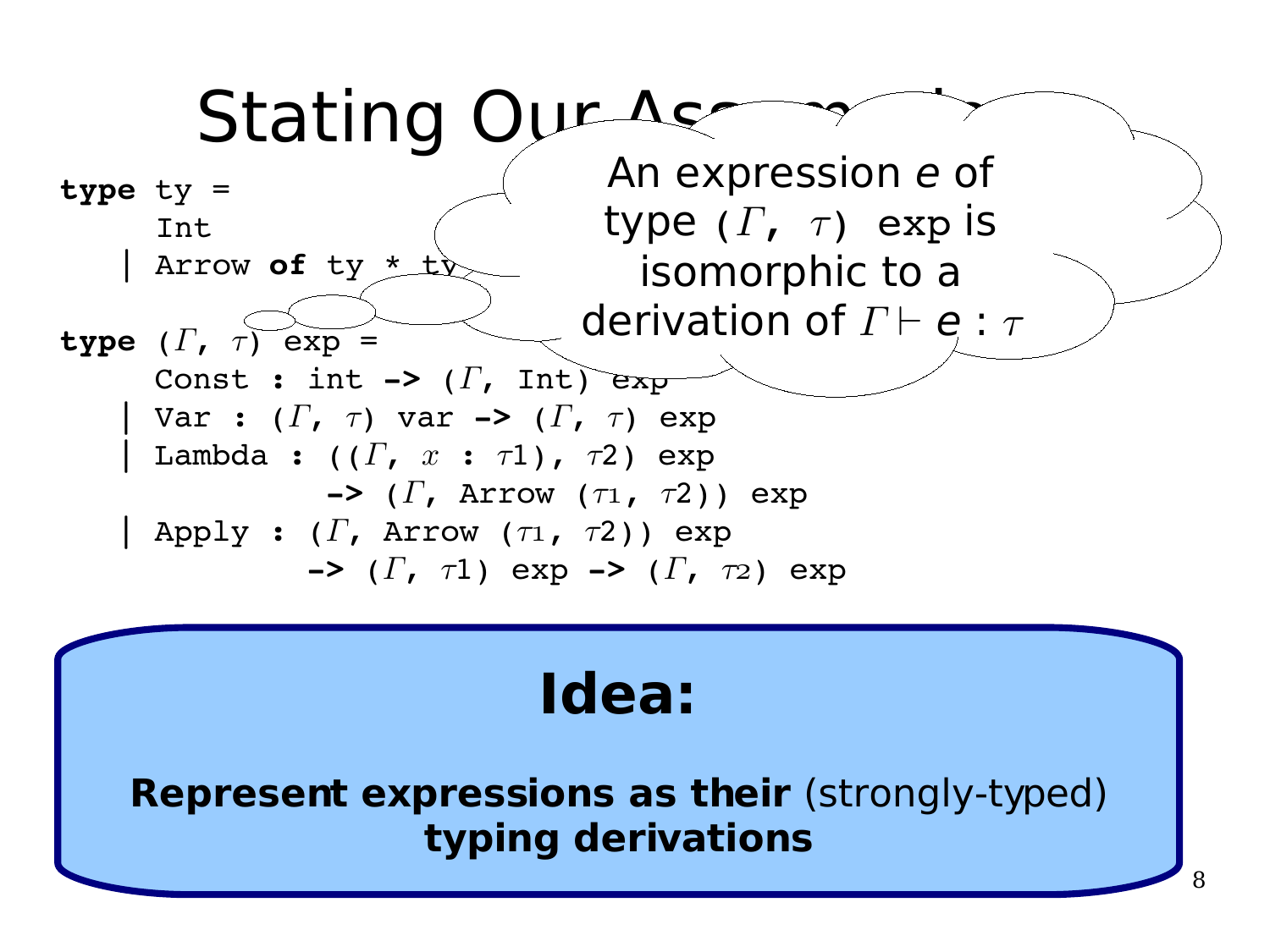

#### **Idea:**

**Represent expressions as their** (strongly-typed) **typing derivations**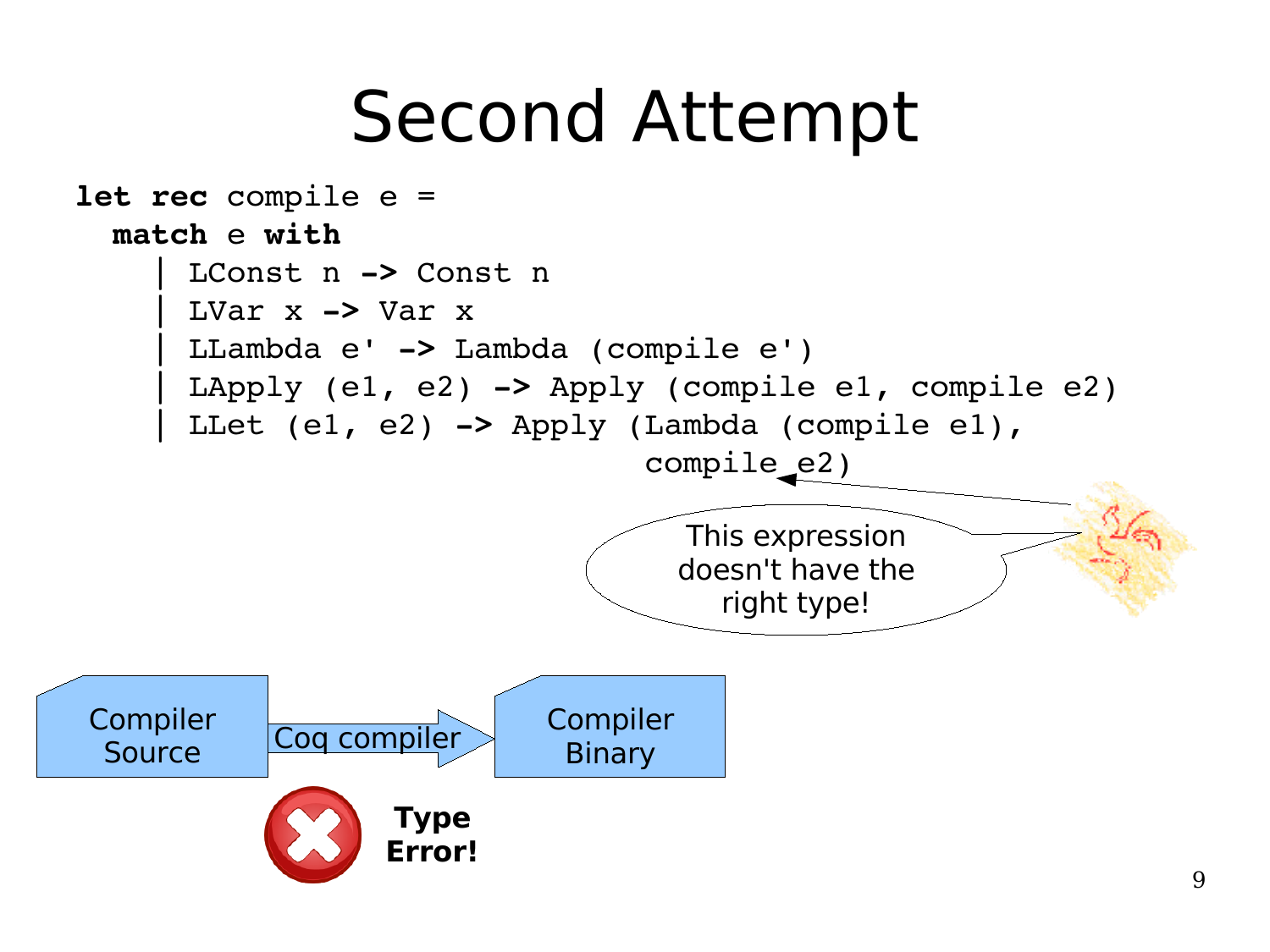### Second Attempt

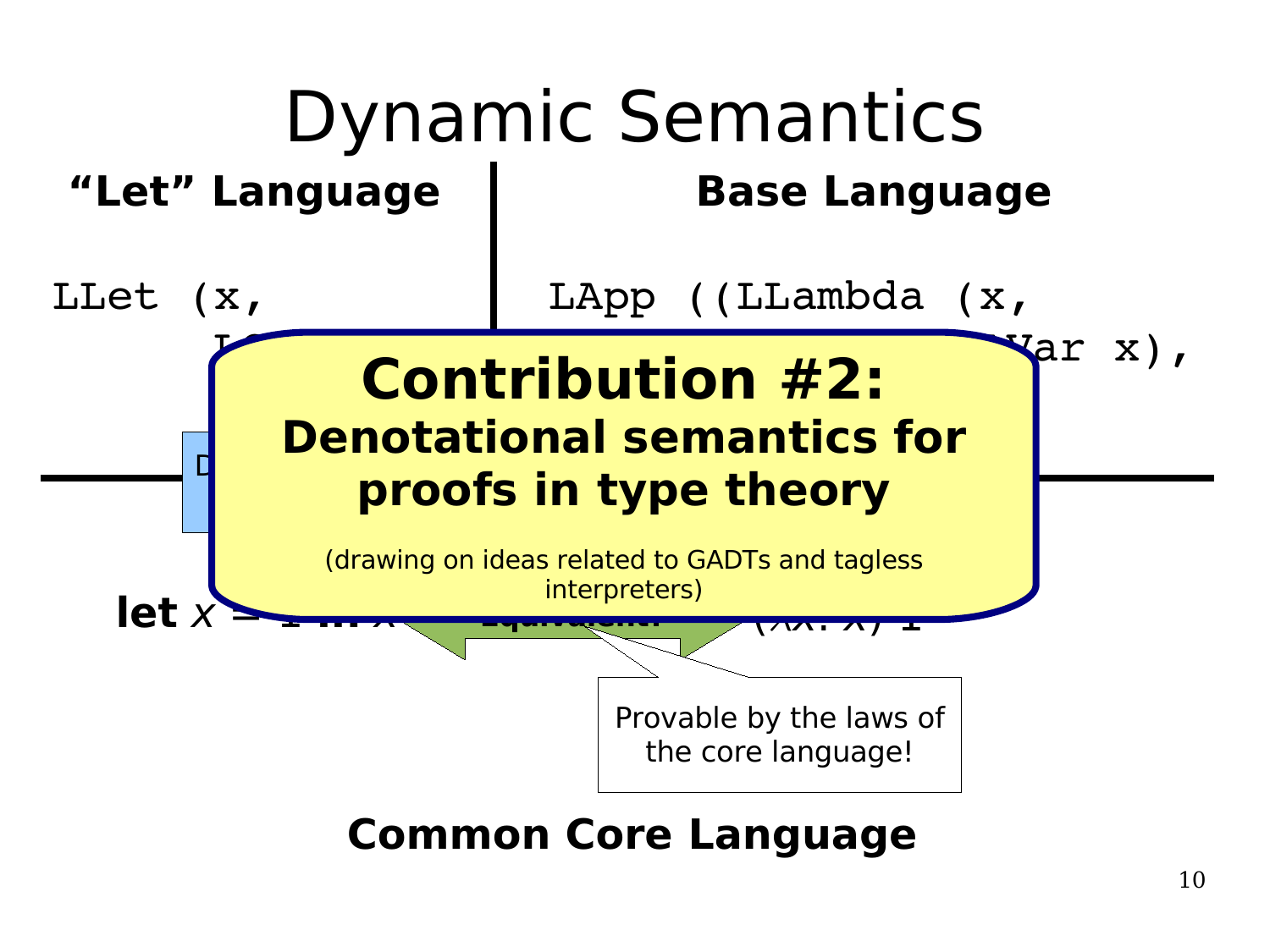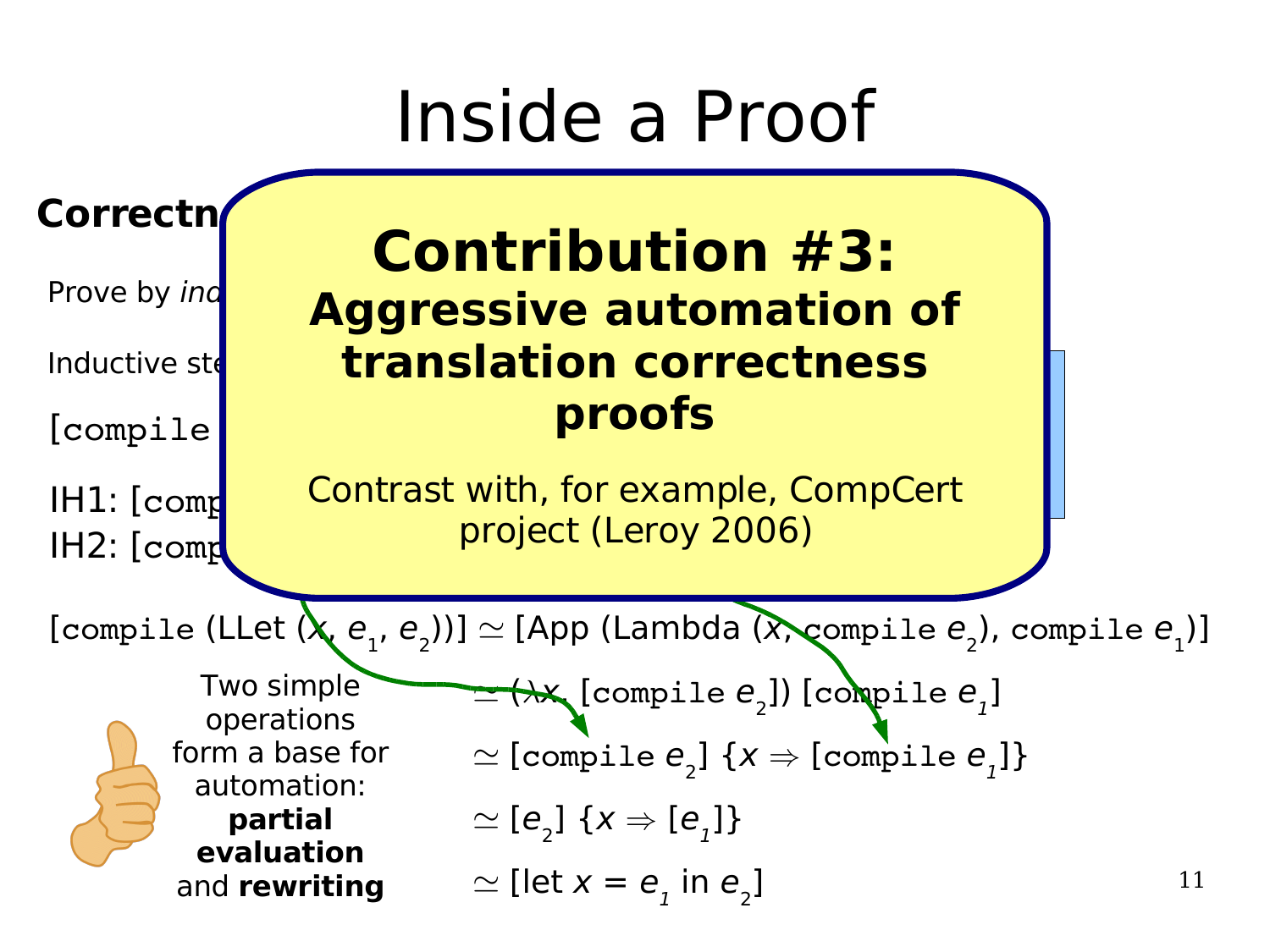#### Inside a Proof

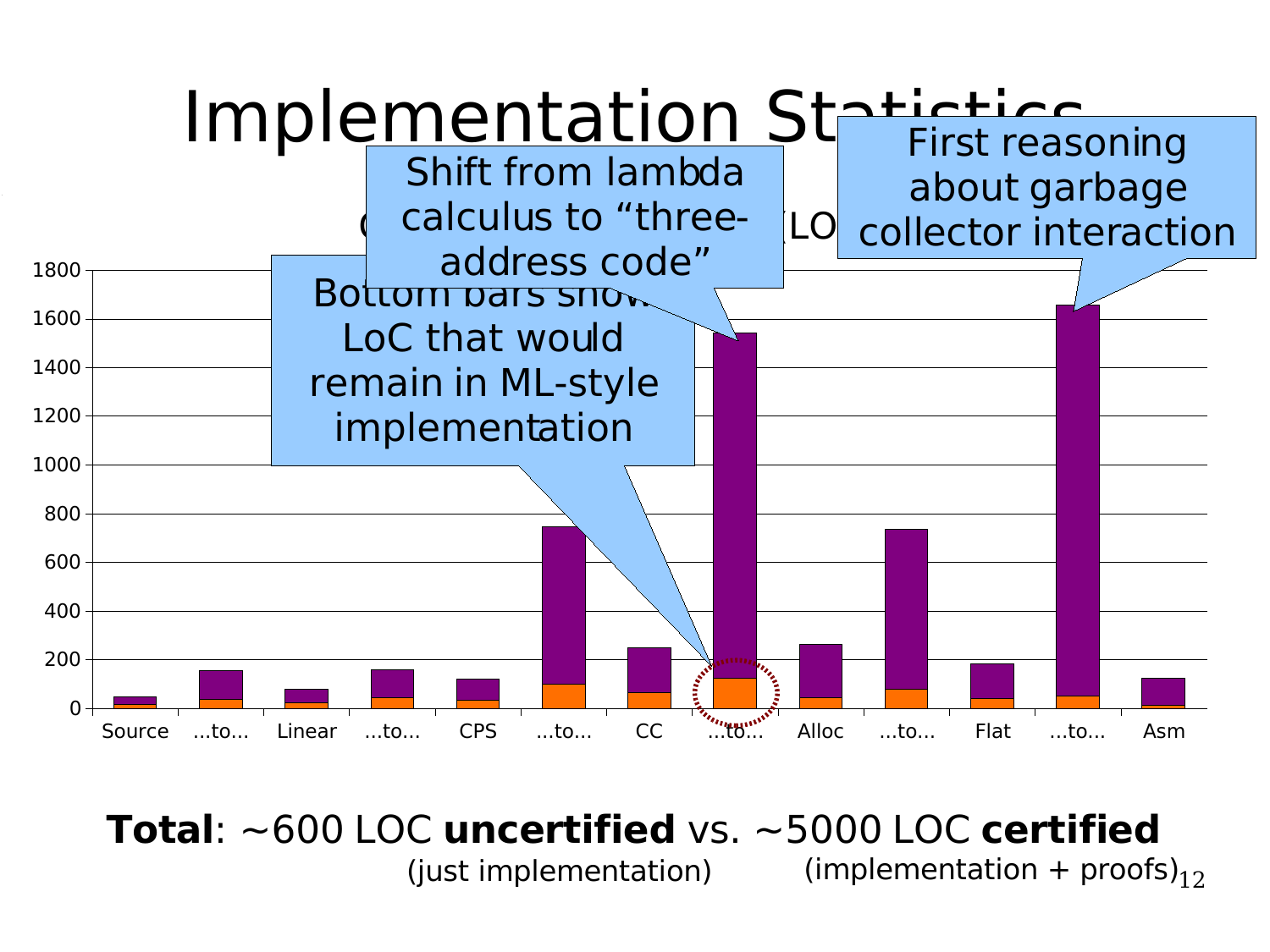

(just implementation) (implementation + proofs) $_{12}$ **Total**: ~600 LOC **uncertified** vs. ~5000 LOC **certified**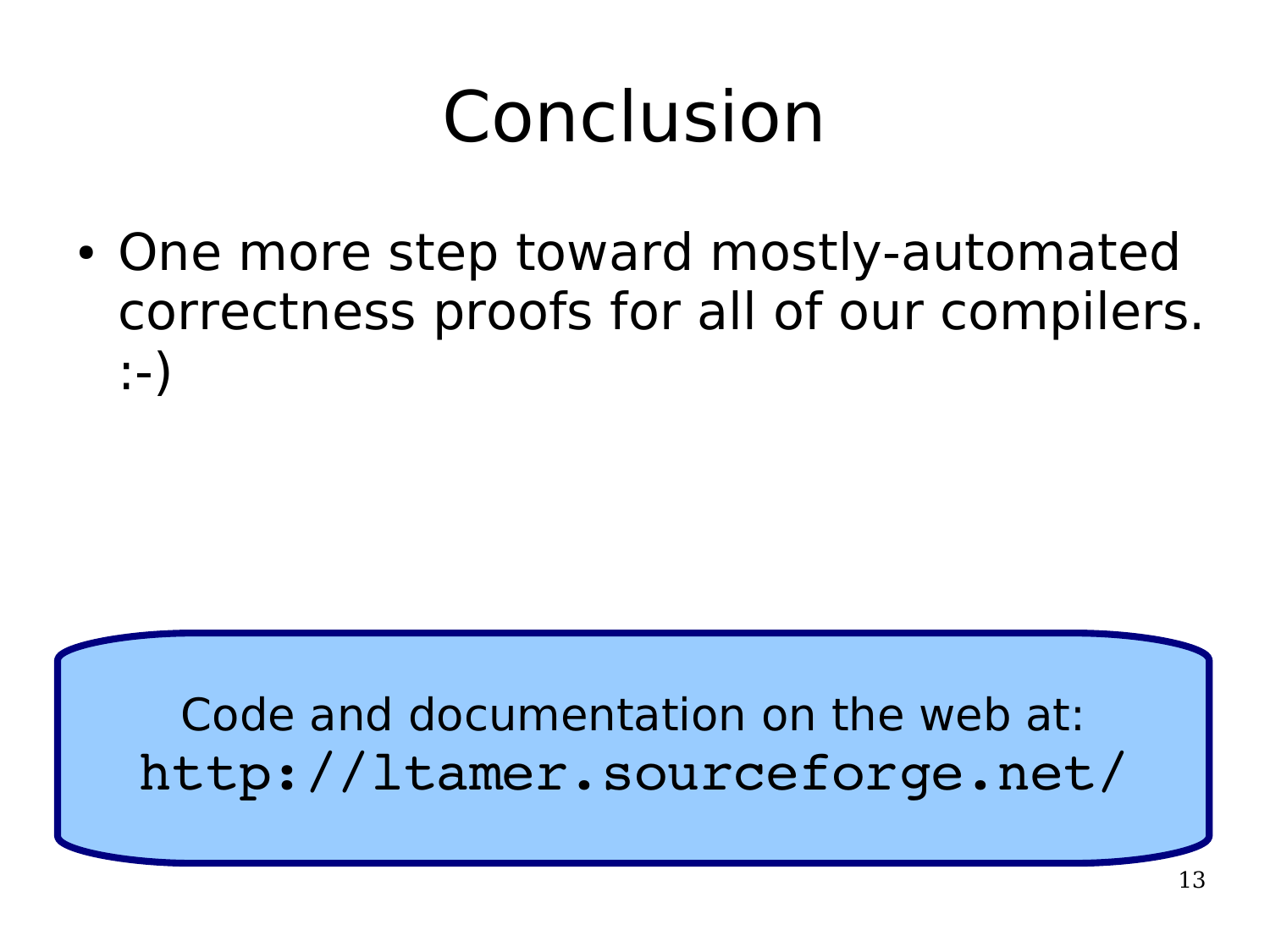# Conclusion

• One more step toward mostly-automated correctness proofs for all of our compilers. :-)

#### Code and documentation on the web at: http://ltamer.sourceforge.net/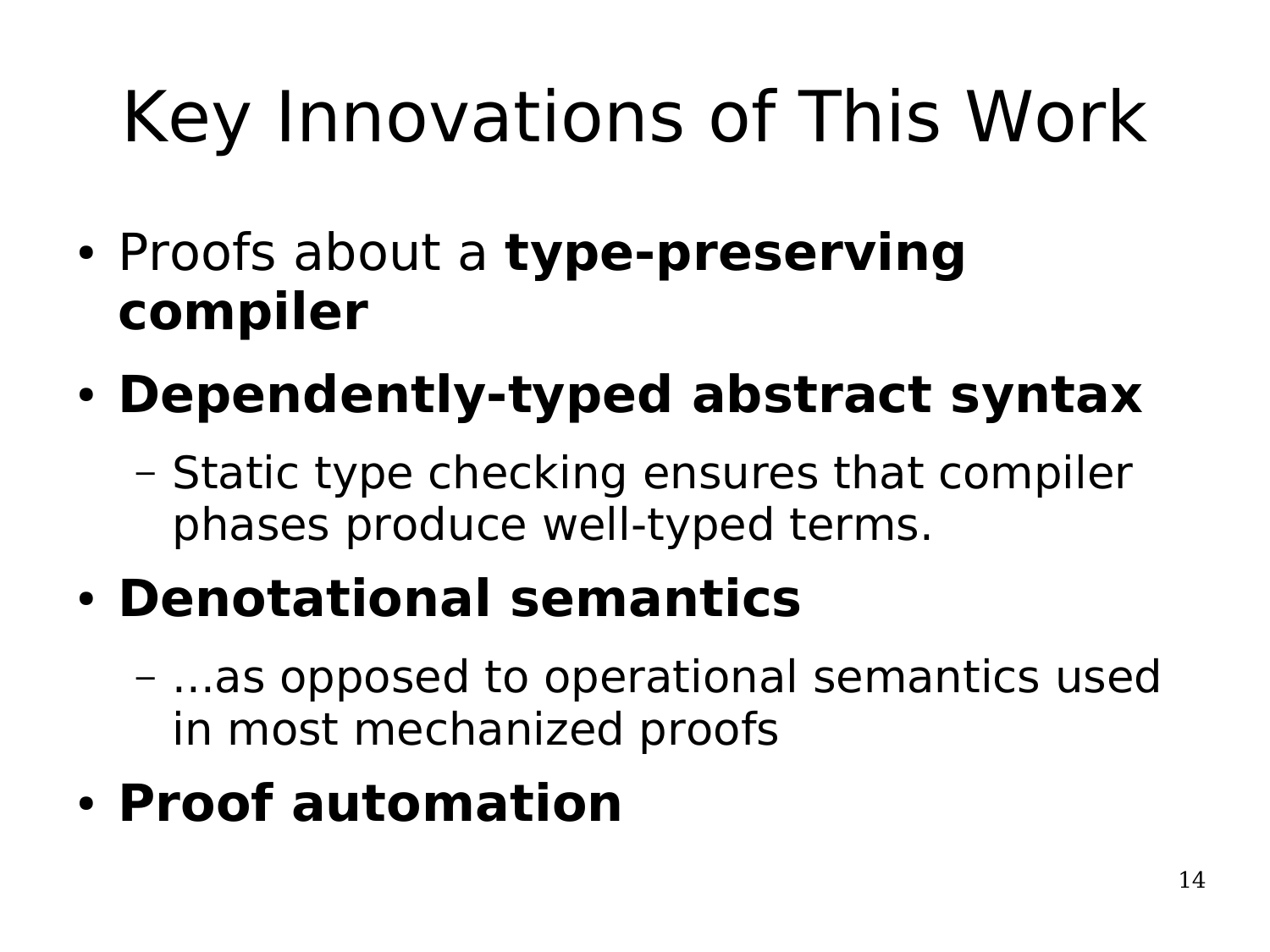# Key Innovations of This Work

- Proofs about a **type-preserving compiler**
- **Dependently-typed abstract syntax**
	- Static type checking ensures that compiler phases produce well-typed terms.
- **Denotational semantics**
	- ...as opposed to operational semantics used in most mechanized proofs
- **Proof automation**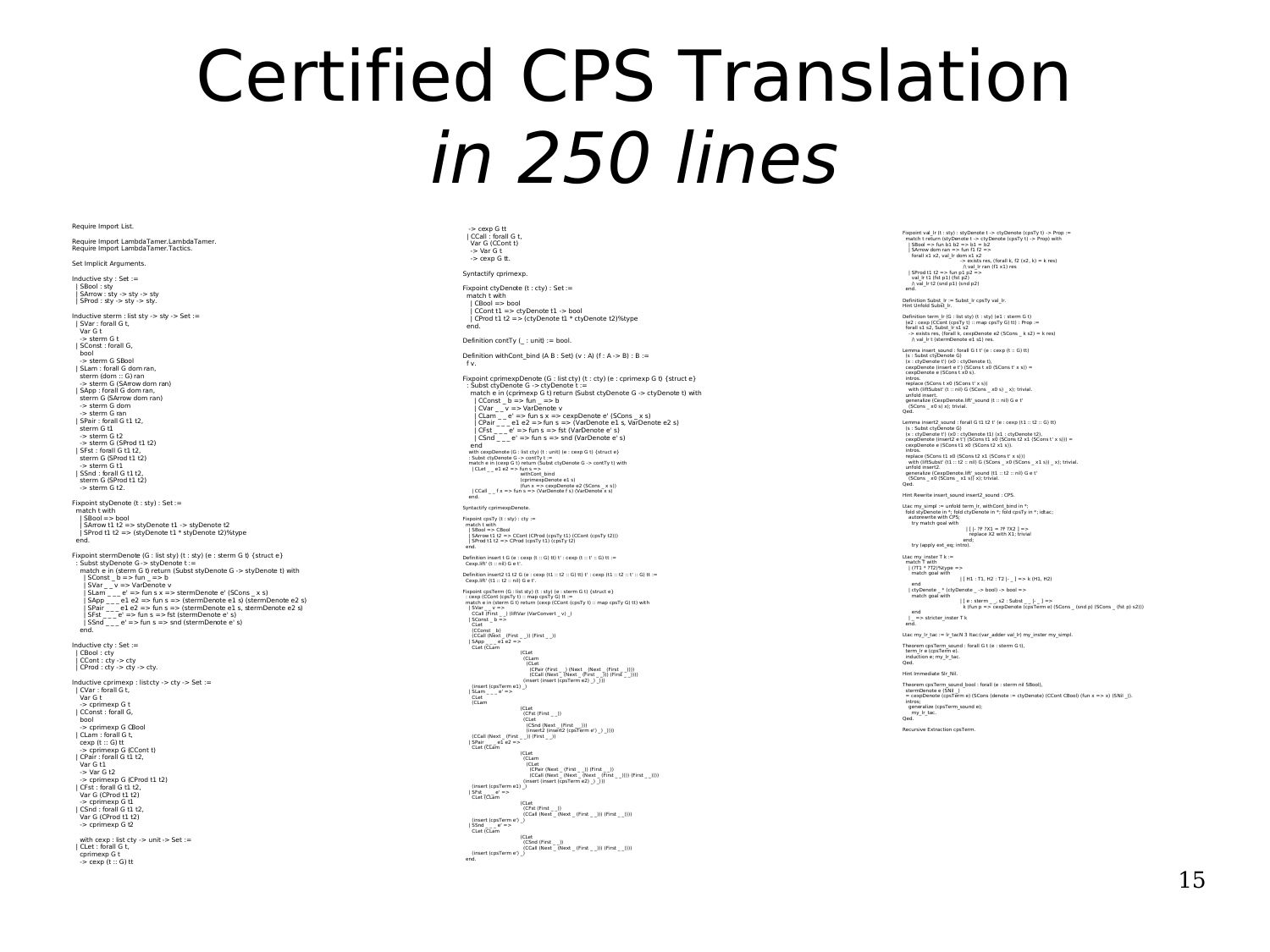### Certified CPS Translation in 250 lines

#### Require Import List.

Require Import LambdaTamer.LambdaTamer. Require Import LambdaTamer.Tactics.

#### Set Implicit Arguments.

Inductive sty : Set := | SBool : sty | SArrow : sty -> sty -> sty | SProd : sty -> sty -> sty.

Inductive sterm : list sty -> sty -> Set := | SVar : forall G t,<br>| SVar : forall G t,<br>| Var G t Var G t -> sterm G t | SConst : forall G, bool -> sterm G SBool | SLam : forall G dom ran, sterm (dom :: G) ran -> sterm G (SArrow dom ran) | SApp : forall G dom ran, sterm G (SArrow dom ran) -> sterm G dom -> sterm G ran | SPair : forall G t1 t2, sterm G t1  $-$  sterm  $G$  t2 -> sterm G (SProd t1 t2) | SFst : forall G t1 t2, sterm G (SProd t1 t2) -> sterm G t1 | SSnd : forall G t1 t2, sterm G (SProd t1 t2)  $-$  sterm  $G$  t2. Fixpoint styDenote (t : sty) : Set := match t with | SBool => bool | SArrow t1 t2 => styDenote t1 -> styDenote t2 | SProd t1 t2 => (styDenote t1 \* styDenote t2)%type end. Fixpoint stermDenote (G : list sty) (t : sty) (e : sterm G t) { struct e} : Subst styDenote G -> styDenote t := match e in (sterm G t) return (Subst styDenote G -> styDenote t) with | SConst \_ b => fun \_ => b  $|SVar_{--}v \Rightarrow$  VarDenote v<br>  $|Slam_{---}e^v \Rightarrow fun s x \Rightarrow s$ termDenote e' (SCons \_ x s)<br>  $|SAp_{---}e|$  e  $2 \Rightarrow fun s \Rightarrow$  (stermDenote e1 s) (stermDenote e2 s)<br>  $|SPar_{---}e1 e2 \Rightarrow fun s \Rightarrow$  (stermDenote e1 s, stermDenote e2 s) | SFst \_ \_ \_ e' => fun s => fst (stermDenote e' s) | SSnd \_ \_ \_ e' => fun s => snd (stermDenote e' s) end. Inductive cty : Set := | CBool : cty | CCont : cty -> cty  $|$  CProd : cty -> cty -> cty. Inductive cprimexp : list cty -> cty -> Set := | CVar : forall G t, Var G t -> cprimexp G t | CConst : forall G, bool -> cprimexp G CBool | CLam : forall G t, cexp (t :: G) tt -> cprimexp G (CCont t) | CPair : forall G t1 t2, Var G t1 -> Var G t2 -> cprimexp G (CProd t1 t2) | CFst : forall G t1 t2, Var G (CProd t1 t2) -> cprimexp G t1 | CSnd : forall G t1 t2, Var G (CProd t1 t2) -> cprimexp G t2 with cexp : list cty -> unit -> Set := | CLet : forall G t, cprimexp G t  $\rightarrow$  cexp (t  $\therefore$  G) tt

#### -> cexp G tt | CCall : forall G t, Var G (CCont t) -> Var G t  $\rightarrow$  cexp G tt.

Syntactify cprimexp. Fixpoint ctyDenote (t : cty) : Set :=

 match t with  $|$  CPool  $=$  bool  $|$  CCont t1 => ctyDenote t1 -> bool  $|$  CProd t1 t2 => (ctyDenote t1  $*$  ctyDenote t2)%type end.

Definition contTy (\_ : unit) := bool.

Definition withCont\_bind (A B : Set) (v : A) (f : A -> B) : B := f v.

Fixpoint cprimexpDenote (G : list cty) (t : cty) (e : cprimexp G t) { struct e} : Subst ctyDenote G -> ctyDenote t := match e in (cprimexp G t) return (Subst ctyDenote G -> ctyDenote t) with | Const L<sub>D</sub> => Van => b<br>| Clart \_\_v => VarDenote v<br>| Clarn \_\_e => fun s x => cexpDenote e' (SCons \_x s)<br>| Clarn \_\_e => fun s x => cexpDenote e' LS (VarDenote e2 s)<br>| Cfst \_\_\_e => fun s => fst (VarDenote e' s)<br>| CSnd \_\_\_e with exploented (G : list typ) (t: unit) (e : cexp G t) (struct e)<br>
: Subst ctyDenote G > contry t :=<br>
match en (cexp G t) cetum (Subst ctyDenote G -> contry t) with<br>  $|\text{CLE}_{--}e1 e2 = \text{Var}(S_{--}e1)$ <br>  $|\text{CLE}_{--}e1 e2 = \text{Var}(S_{--}e1$ Syntactify cprimexpDenote. Fixpoint cpsTy (t : sty) : cty := match t with | SBool => CBool | SArrow t1 t2 => CCont (CProd (cpsTy t1) (CCont (cpsTy t2))) | SProd t1 t2 => CProd (cpsTy t1) (cpsTy t2) end. Definition insert t G (e : cexp (t :: G) tt) t' : cexp (t :: t' :: G) tt := Cexp.lift' (t :: nil) G e t'. Definition insert2 t1 t2 G (e : cexp (t1 :: t2 :: G) tt) t' : cexp (t1 :: t2 :: t' :: G) tt := Cexp.lift' (t1 :: t2 :: nil) G e t'. Fixpoint coster in (G : list sty) (t : sty) (e : sterm G t) {struct e}<br>
: cexp (CCont (cpsTy t) :: map cpsTy G) it :=<br>
match e in (sterm G t) return (cexp (CCont (cpsTy t) :: map cpsTy G) it) with<br>
| Scont (F v= \_)<br>
| SCO (CConst \_ b) (CCall (Next \_ (First \_ \_)) (First \_ \_)) | SApp \_ \_ \_ e1 e2 => CLet (CLam (CLet)<br>(CLam (CLam<br>| (CPair (First \_ \_) (Next \_ (Next \_ (First \_ \_))))<br>| (CCall (Next \_ (Next \_ (First \_ \_))) (First \_ \_))))<br>| (insert (insert (cpsTerm e2) \_) \_))) (insert (cpsTerm e1) \_) | SLam \_ \_ \_ e' => CLet (CLam (Cet)<br>
(CFst (First \_ \_))<br>
(CCall (Next \_ (First \_ \_))<br>
(CCall (Next \_ (First \_ \_)) (First \_ \_))<br>
| SPair \_ \_ \_ e1 e2 =><br>
| SPair \_ \_ \_ e1 e2 =><br>
| CLet (CLam (Let (CLam<br>
(CLet<br>
(CPair (Next \_ (First \_ \_)) (First \_ \_))<br>
(CCall (Next \_ (Next \_ (Next \_ (First \_ \_)))) (First \_ \_))))<br>(insert (insert (cpsTerm e2) \_) \_)))

 (insert (cpsTerm e1) \_) | SFst \_ \_ \_ e' => CLet (CLam (CLet (CFst (First \_ \_)) (CCall (Next \_ (Next \_ (First \_ \_))) (First \_ \_)))) (insert (cpsTerm e') \_)  $|$  SSnd  $_e$  =><br>CLet (CLam CLet (CLam (CLet (CLam (First \_ \_))<br>
(CSnd (First \_ \_))) (First \_ \_)))) (First \_ \_))))<br>
(insert (cpsTerm e') \_)<br>
end. Fixpoint val\_lr (t : sty) : styDenote t -> ctyDenote (cpsTy t) -> Prop := match t return (styDenote t -> ctyDenote (cpsTy t) -> Prop) with | SBool => fun b1 b2 => b1 = b2 | SArrow dom ran => fun f1 f2 => forall x1 x2, val\_lr dom x1 x2<br>  $\rightarrow \infty$  ists res, (forall k, f2 (x2, k) = k res)<br>
| SProd t1 2 => fun p1 p2 =><br>
| Sal\_lr t1 (fst p1) (fst p2)<br>
| val\_lr t2 (snd p1) (snd p2)<br>
| Aval\_lr t2 (snd p1) (snd p2)

Definition Subst\_lr := Subst\_lr cpsTy val\_lr. Hint Unfold Subst\_lr.

Definition term.  $\vert$ r (G : list sty) (t : sty) (e1 : stem G t)<br>(e2 : cexp (CCont (cpsTy t) :: map cpsTy G) tt) : Prop :=<br>forall s1 s2, Subst\_Ir s1 s2<br>-> exists res, (forall k, cexpDenote e2 (SCons\_k s2) = k res)<br>/ val Ir

Lemma insert\_sound : forall G t t' (e : cexp (t :: G) tt)<br> (s : ctyDenote G)<br> (x : ctyDenote t') (x0 : ctyDenote t),<br> cexpDenote (insert e t') (SCons t x0 (SCons t' x s)) =<br> cexpDenote e (SCons t x0 s).<br>intros. replace (SCons t x0 (SCons t' x s)) with (liftSubst' (t :: nil) G (SCons \_ x0 s) \_ x); trivial. unfold insert.<br>generalize (CexpDenote.lift'\_sound (t :: nil) G e t'<br>(SCons \_ x0 s) x); trivial.<br>Qed.

Lemma insert2\_sound : forall G t1 t2 t' (e : cexp (t1 :: t2 :: G) tt)<br>(s : Subst ctyDenote G)<br>(x : ctyDenote t') (x0 : ctyDenote t1) (x1 : ctyDenote t2),<br>cexpDenote (insert2 e t') (SCons t1 x0 (SCons t2 x1 i (SCons t' x s) intros. replace (SCons t1 x0 (SCons t2 x1 (SCons t' x s))) epiace (Scons crixo (Scons crixi (Scons cixis)))<br>with (liftSubst' (t1  $\cdot$  t2  $\cdot$  nil) G (SCons \_ x0 (SCons \_ x1 s)) \_ x); trivial. unfold insert2.<br>| generalize (CexpDenote.lift'\_sound (t1 :: t2 :: nil) G e t'<br>| (SCons \_ x0 (SCons \_ x1 s)) x); trivial.<br>Qed. Hint Rewrite insert\_sound insert2\_sound : CPS. Ltac my\_simpl := unfold term\_lr\_withCont\_bind in \*; fold styDenote in \*; fold ctyDenote in \*; fold cpsTy in \*; idtac; autorewrite with CPS; try match goal with | [ |- ?F ?X1 = ?F ?X2 ] => replace in the place end; try (apply ext\_eq; intro).

Ltac my\_inster T k  $:=$  match T with | (?T1 \* ?T2)%type => match goal with | [ H1 : T1, H2 : T2 |- \_ ] => k (H1, H2) end | ctyDenote \_ \* (ctyDenote \_ -> bool) -> bool => match goal with | [ e : sterm \_ \_, s2 : Subst \_ \_ |- \_ ] => k (fun p => cexpDenote (cpsTerm e) (SCons \_ (snd p) (SCons \_ (fst p) s2)))

end | \_ => stricter\_inster T k end.

Ltac my\_lr\_tac := lr\_tacN 3 ltac:(var\_adder val\_lr) my\_inster my\_simpl. Theorem cpsTerm\_sound : forall G t (e : sterm G t), term\_lr e (cpsTerm e).

 induction e; my\_lr\_tac. Qed. Hint Immediate Slr\_Nil.

Theorem cpsTerm\_sound\_bool : forall (e : sterm nil SBool),<br>\_stermDenote e (SNil \_)<br>= cexpDenote (cpsTerm e) (SCons (denote := ctyDenote) (CCont CBool) (fun x => x) (SNil \_)). intros; generalize (cpsTerm\_sound e); my\_lr\_tac. Qed.

Recursive Extraction cpsTerm.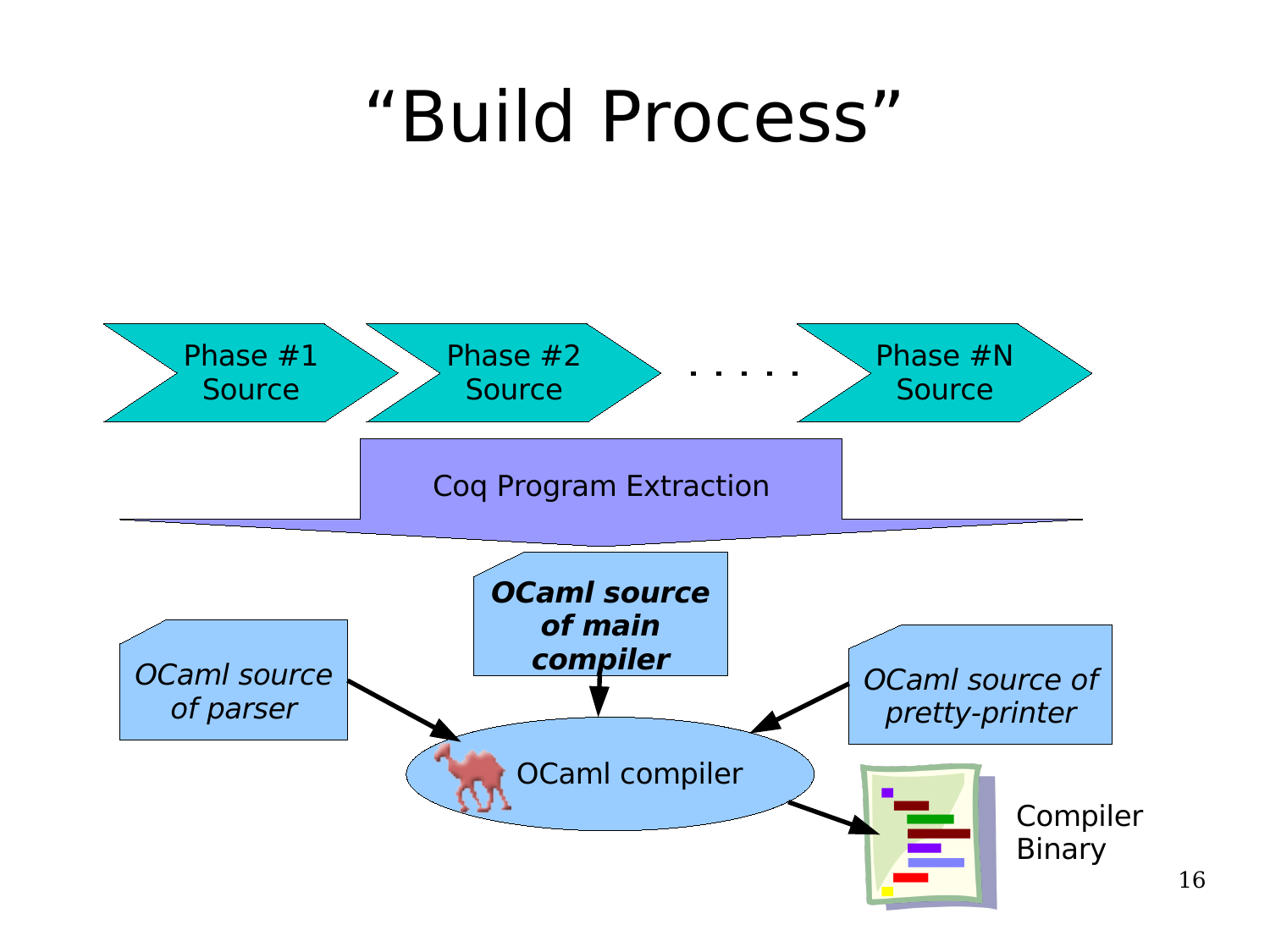#### "Build Process"

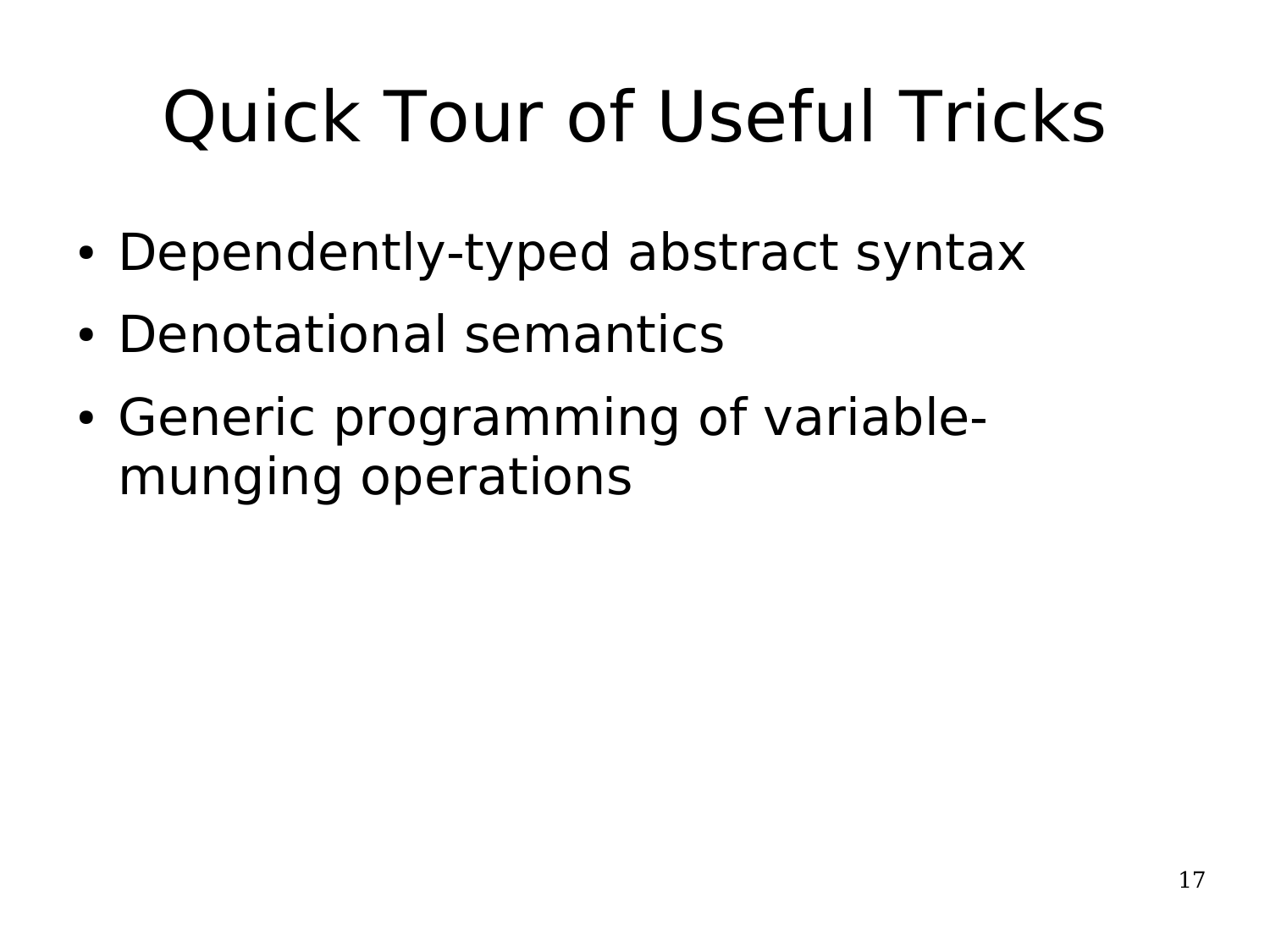# Quick Tour of Useful Tricks

- Dependently-typed abstract syntax
- Denotational semantics
- Generic programming of variablemunging operations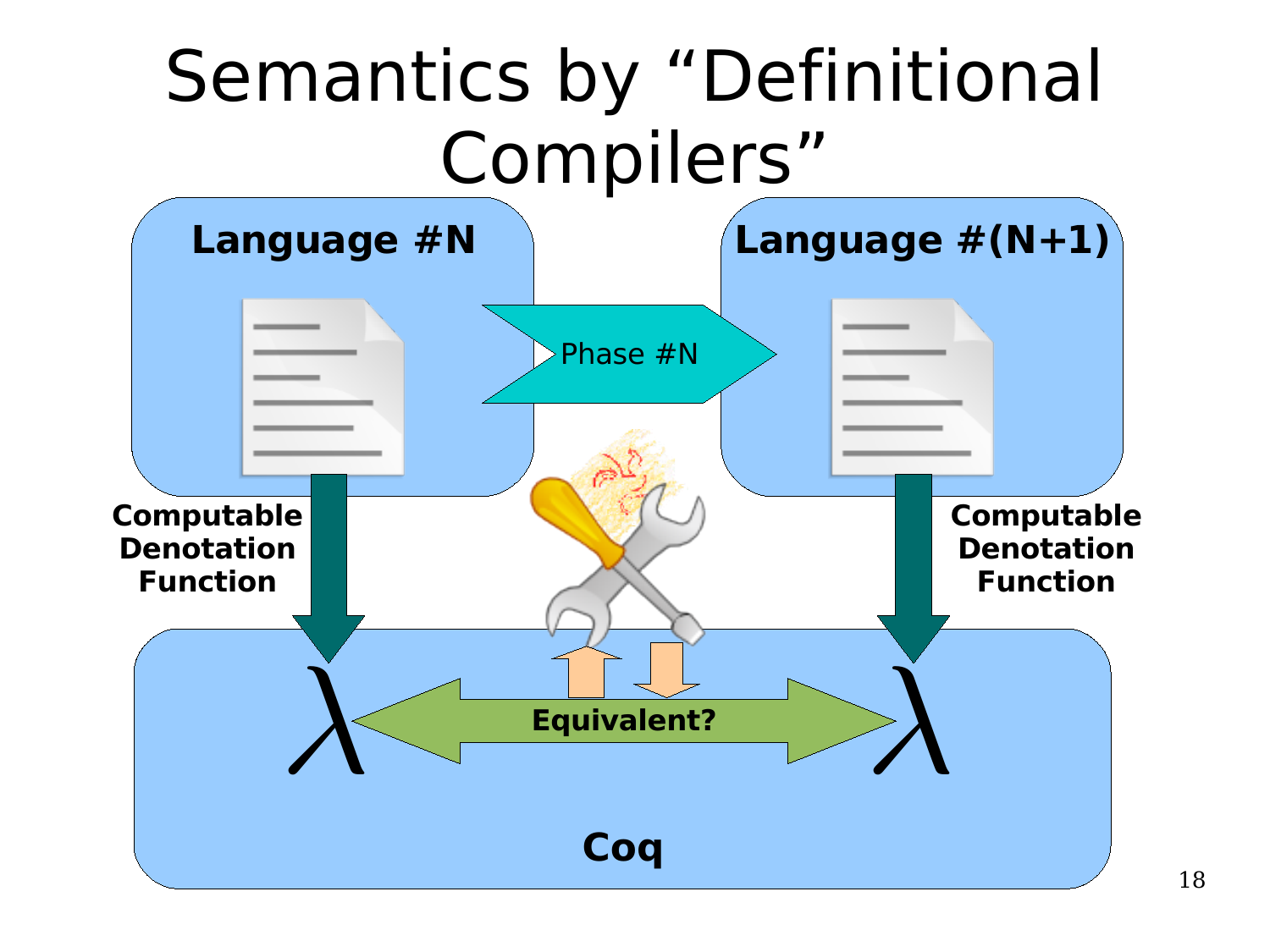## Semantics by "Definitional Compilers"

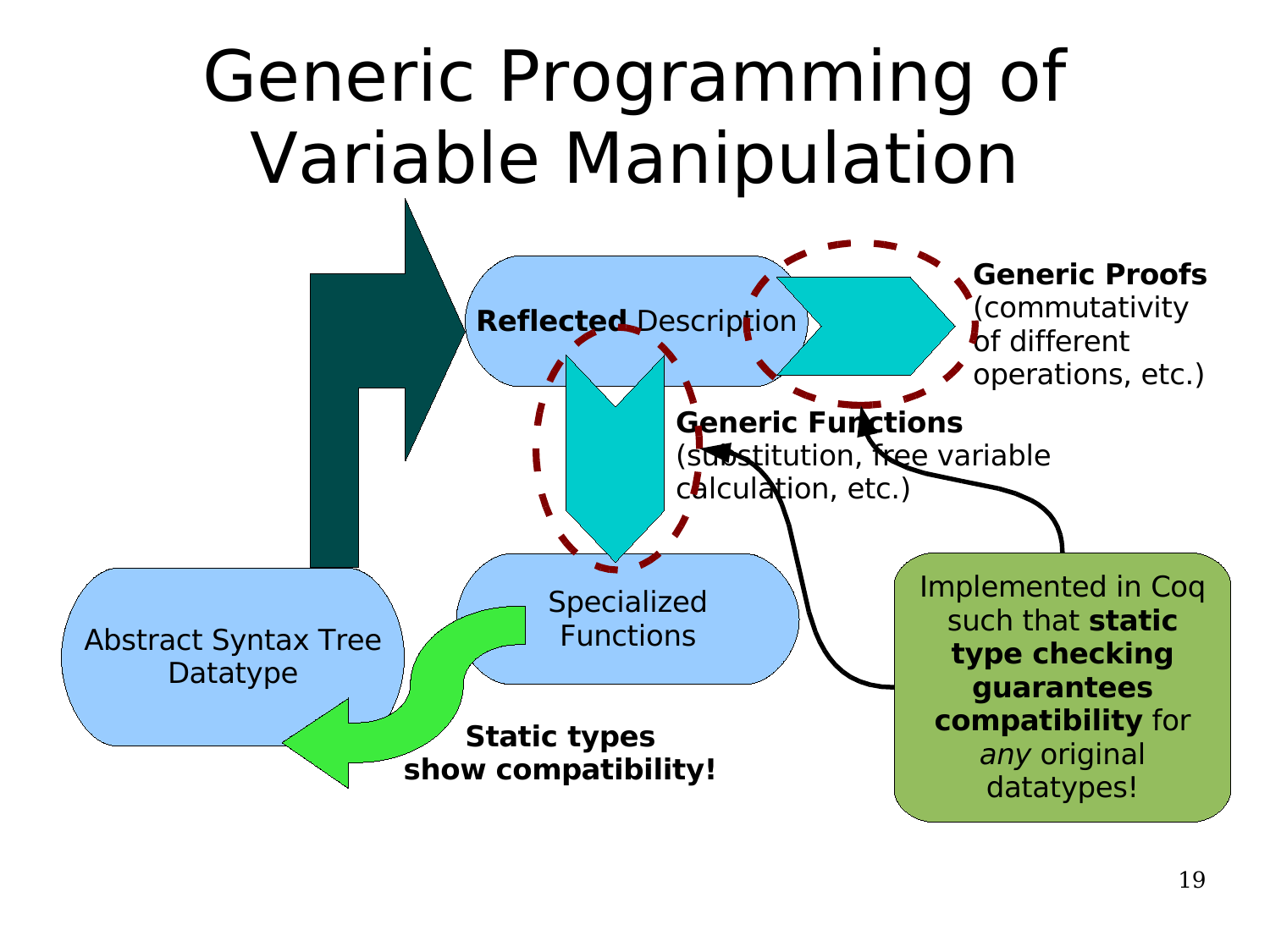## Generic Programming of Variable Manipulation

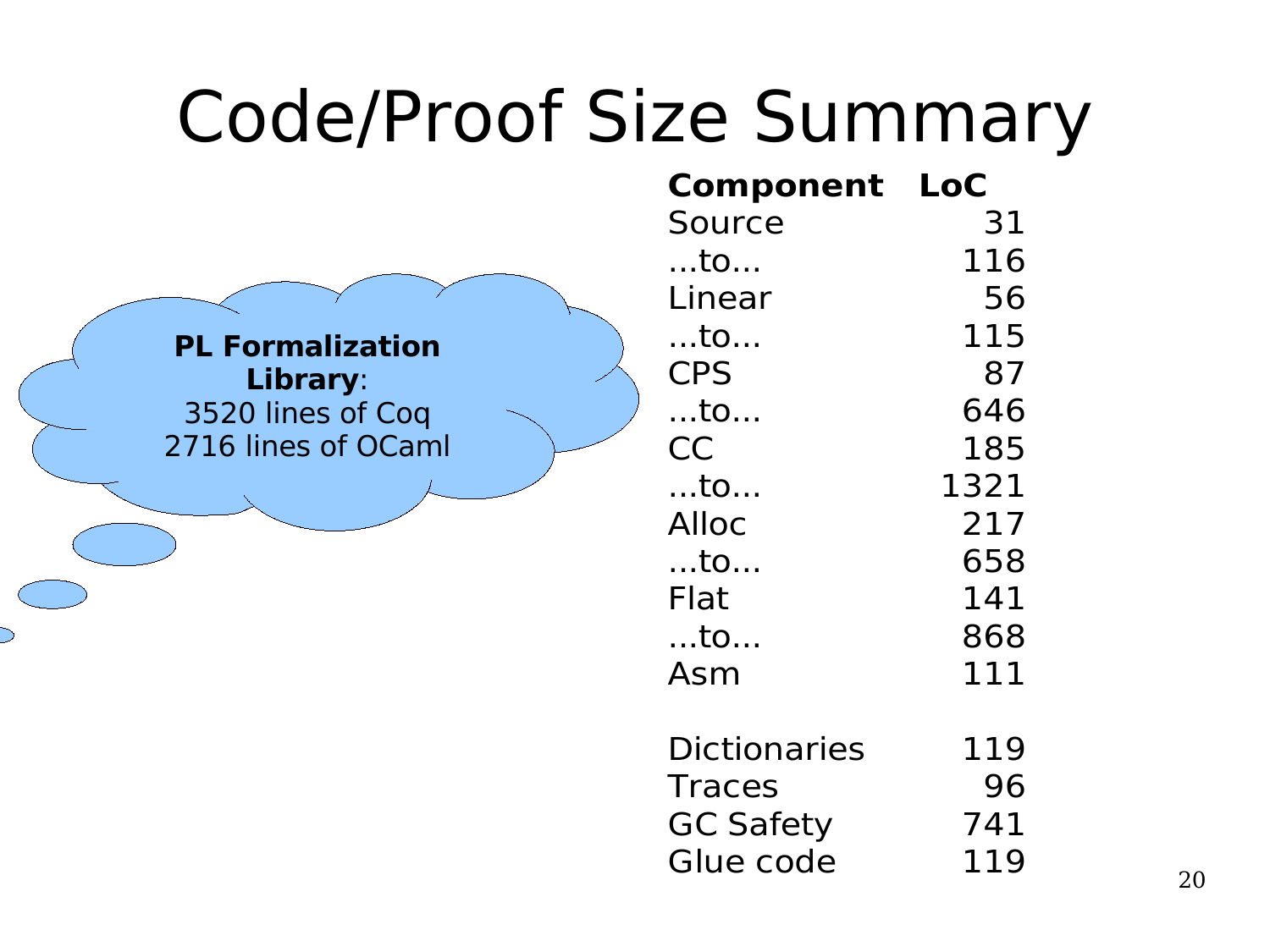| <b>Code/Proof Size Summary</b> |                     |            |
|--------------------------------|---------------------|------------|
|                                | <b>Component</b>    | <b>LoC</b> |
|                                | Source              | 31         |
|                                | $$ to               | 116        |
|                                | Linear              | 56         |
| <b>PL Formalization</b>        | $$ to               | 115        |
| Library:                       | <b>CPS</b>          | 87         |
| 3520 lines of Coq              | $$ to               | 646        |
| 2716 lines of OCaml            | <b>CC</b>           | 185        |
|                                | $$ to               | 1321       |
|                                | <b>Alloc</b>        | 217        |
|                                | $$ to               | 658        |
|                                | <b>Flat</b>         | 141        |
|                                | $$ to               | 868        |
|                                | Asm                 | 111        |
|                                | <b>Dictionaries</b> | 119        |
|                                | <b>Traces</b>       | 96         |
|                                | <b>GC Safety</b>    | 741        |
|                                | Glue code           | 119        |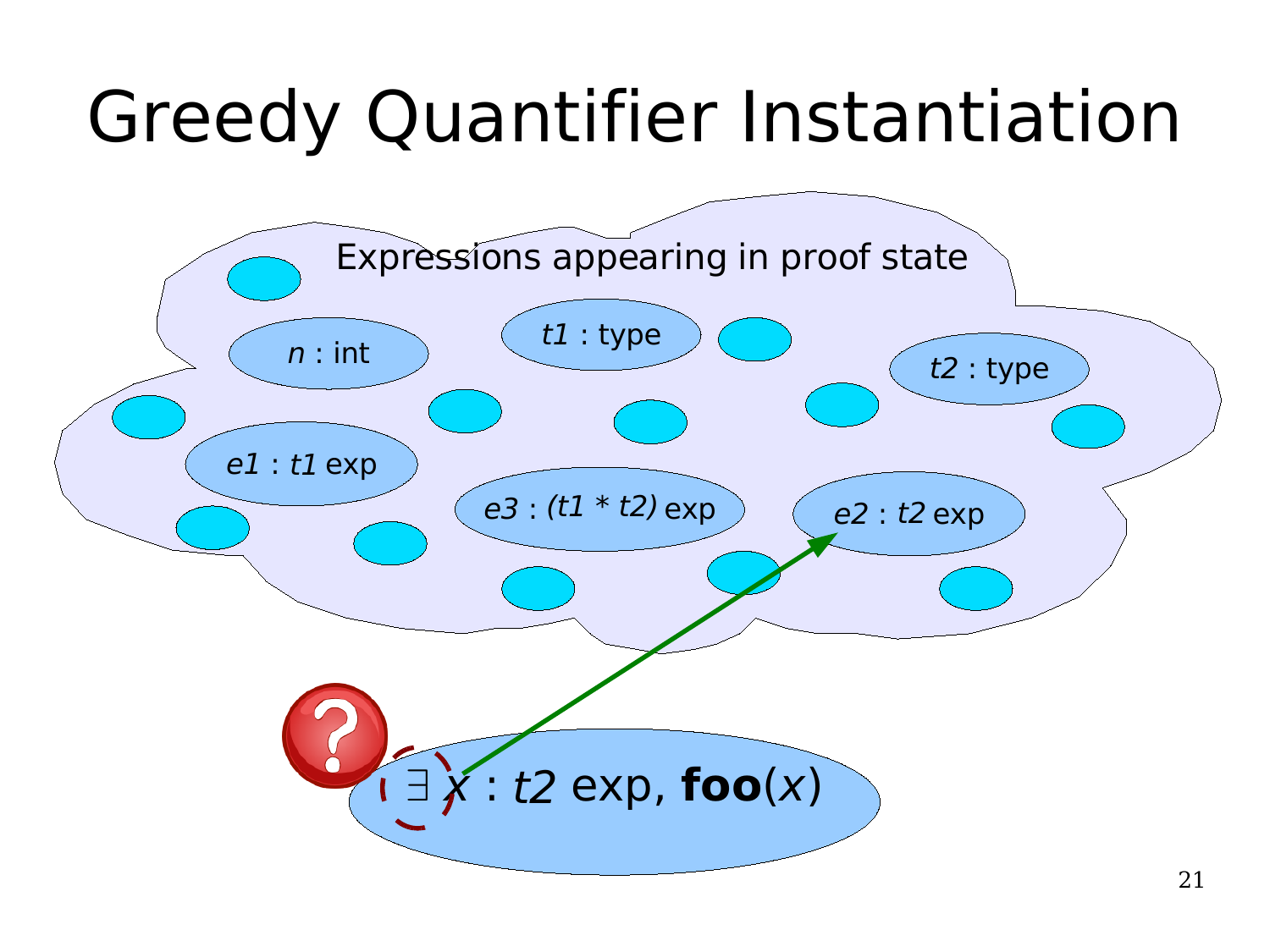# Greedy Quantifier Instantiation

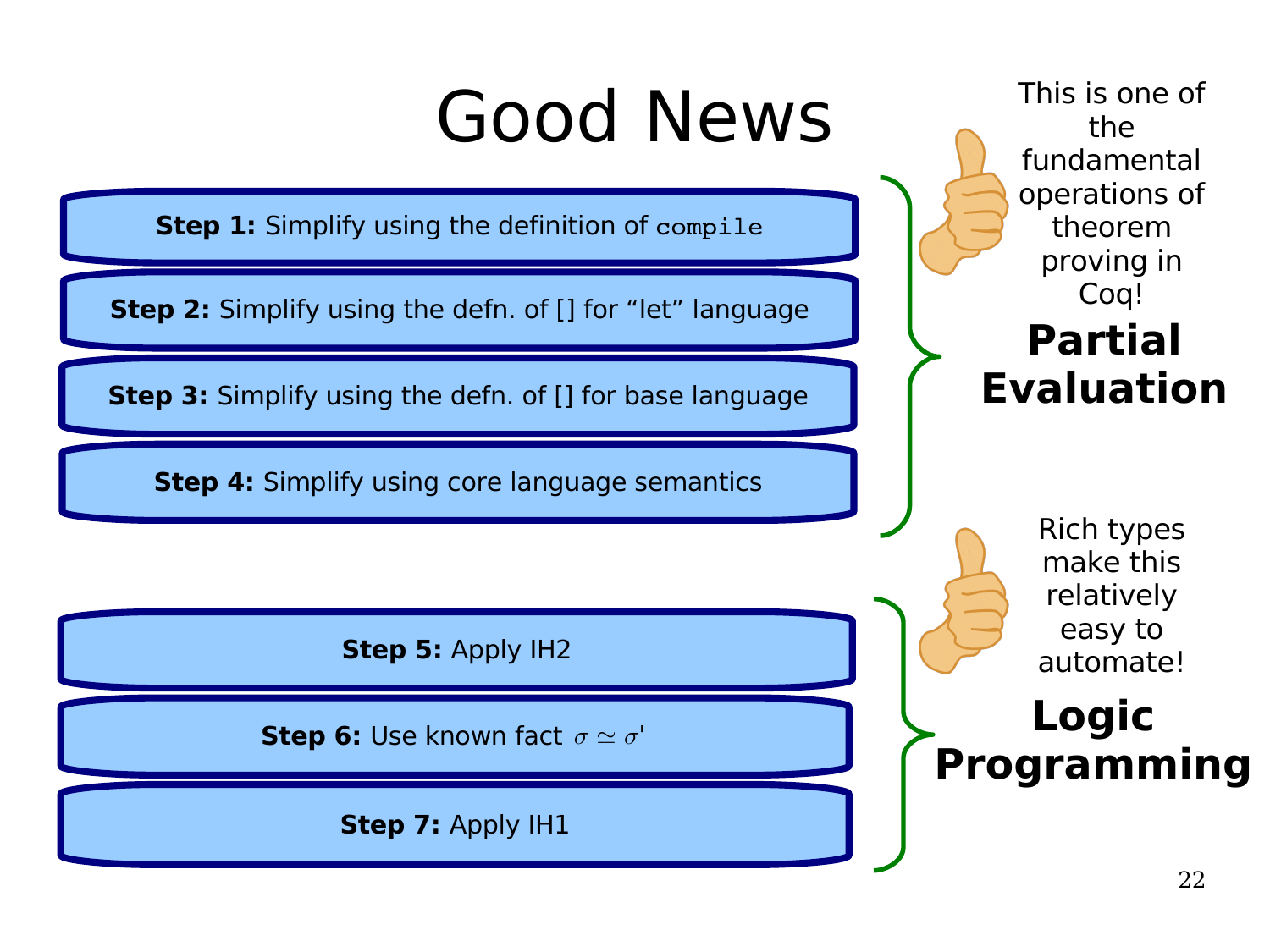## Good News

**Step 1:** Simplify using the definition of compile

**Step 2:** Simplify using the defn. of [] for "let" language

**Step 3:** Simplify using the defn. of [] for base language

**Step 4:** Simplify using core language semantics

**Step 5:** Apply IH2

**Step 6:** Use known fact  $\sigma \simeq \sigma'$ 

**Step 7:** Apply IH1

**Partial Evaluation Logic Programming** This is one of the fundamental operations of theorem proving in Coq! Rich types make this relatively easy to automate!